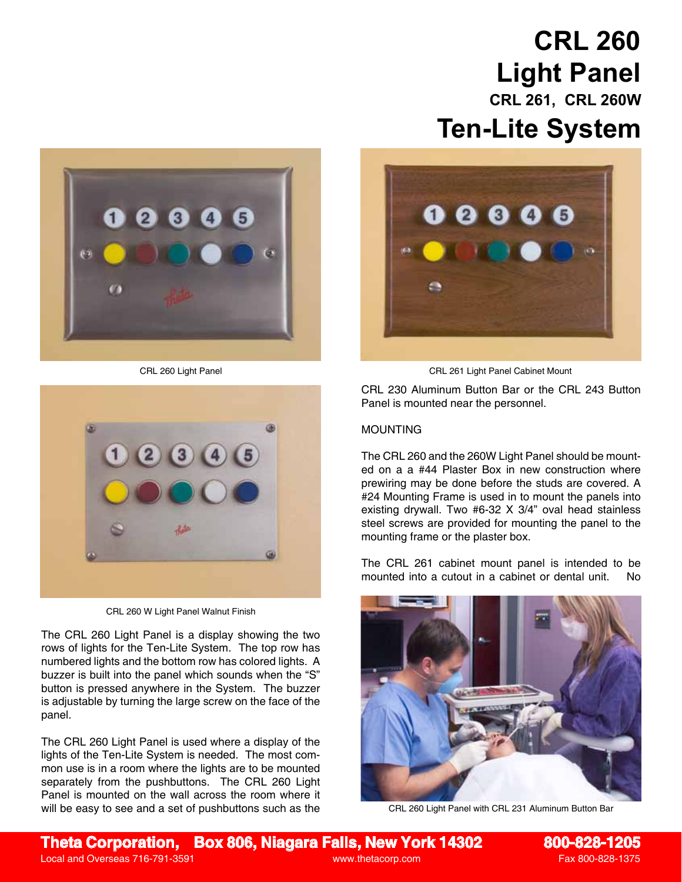## **CRL 260 Light Panel CRL 261, CRL 260W Ten-Lite System**





CRL 260 W Light Panel Walnut Finish

The CRL 260 Light Panel is a display showing the two rows of lights for the Ten-Lite System. The top row has numbered lights and the bottom row has colored lights. A buzzer is built into the panel which sounds when the "S" button is pressed anywhere in the System. The buzzer is adjustable by turning the large screw on the face of the panel.

The CRL 260 Light Panel is used where a display of the lights of the Ten-Lite System is needed. The most common use is in a room where the lights are to be mounted separately from the pushbuttons. The CRL 260 Light Panel is mounted on the wall across the room where it will be easy to see and a set of pushbuttons such as the



CRL 260 Light Panel CRL 261 Light Panel Cabinet Mount

CRL 230 Aluminum Button Bar or the CRL 243 Button Panel is mounted near the personnel.

## MOUNTING

The CRL 260 and the 260W Light Panel should be mounted on a a #44 Plaster Box in new construction where prewiring may be done before the studs are covered. A #24 Mounting Frame is used in to mount the panels into existing drywall. Two #6-32 X 3/4" oval head stainless steel screws are provided for mounting the panel to the mounting frame or the plaster box.

The CRL 261 cabinet mount panel is intended to be mounted into a cutout in a cabinet or dental unit. No



CRL 260 Light Panel with CRL 231 Aluminum Button Bar

**Theta Corporation, Box 806, Niagara Falls, New York 14302 800-828-1205**

Local and Overseas 716-791-3591 www.thetacorp.com Fax 800-828-1375